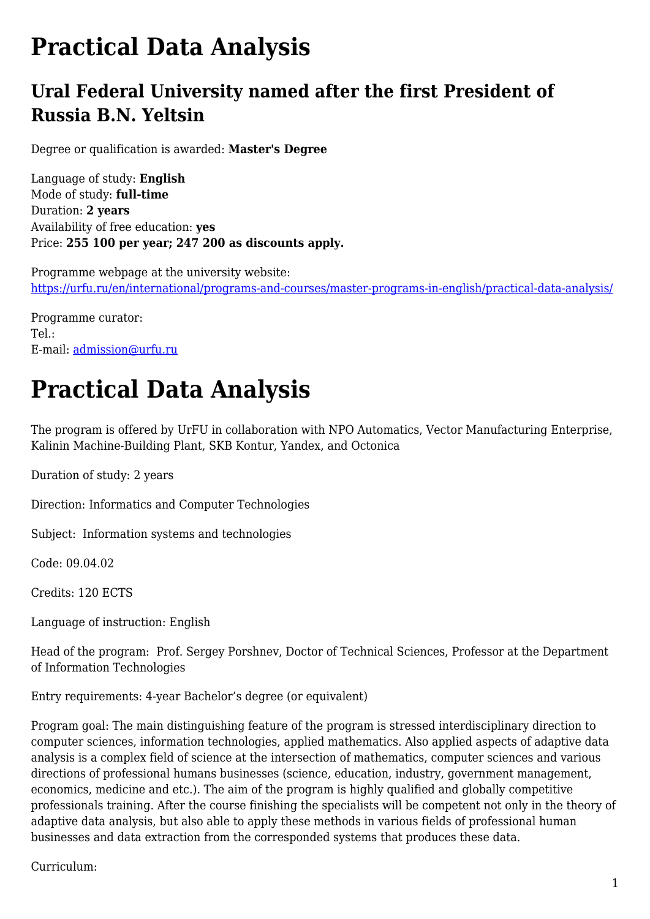## **Practical Data Analysis**

## **Ural Federal University named after the first President of Russia B.N. Yeltsin**

Degree or qualification is awarded: **Master's Degree**

Language of study: **English** Mode of study: **full-time** Duration: **2 years** Availability of free education: **yes** Price: **255 100 per year; 247 200 as discounts apply.**

Programme webpage at the university website: <https://urfu.ru/en/international/programs-and-courses/master-programs-in-english/practical-data-analysis/>

Programme curator: Tel.: E-mail: [admission@urfu.ru](mailto:admission@urfu.ru)

## **Practical Data Analysis**

The program is offered by UrFU in collaboration with NPO Automatics, Vector Manufacturing Enterprise, Kalinin Machine-Building Plant, SKB Kontur, Yandex, and Octonica

Duration of study: 2 years

Direction: Informatics and Computer Technologies

Subject: Information systems and technologies

Code: 09.04.02

Credits: 120 ECTS

Language of instruction: English

Head of the program: Prof. Sergey Porshnev, Doctor of Technical Sciences, Professor at the Department of Information Technologies

Entry requirements: 4-year Bachelor's degree (or equivalent)

Program goal: The main distinguishing feature of the program is stressed interdisciplinary direction to computer sciences, information technologies, applied mathematics. Also applied aspects of adaptive data analysis is a complex field of science at the intersection of mathematics, computer sciences and various directions of professional humans businesses (science, education, industry, government management, economics, medicine and etc.). The aim of the program is highly qualified and globally competitive professionals training. After the course finishing the specialists will be competent not only in the theory of adaptive data analysis, but also able to apply these methods in various fields of professional human businesses and data extraction from the corresponded systems that produces these data.

Curriculum: